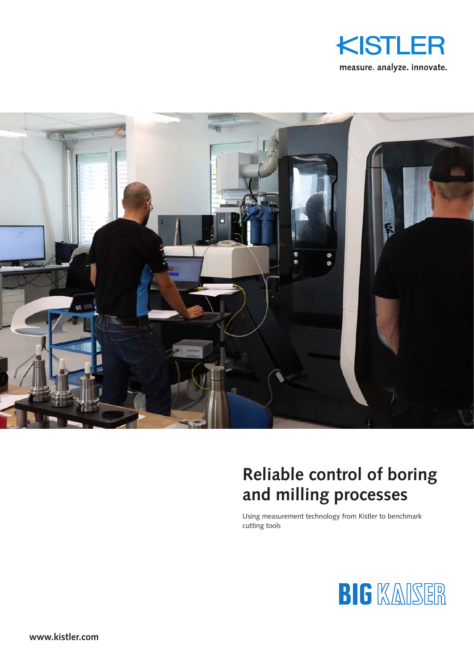



# **Reliable control of boring and milling processes**

Using measurement technology from Kistler to benchmark cutting tools

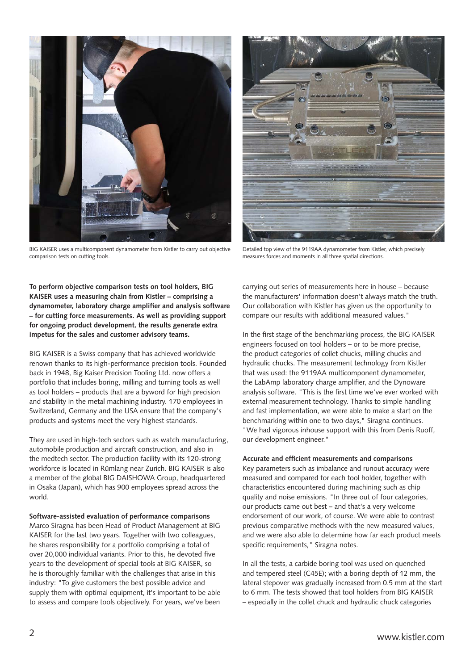

BIG KAISER uses a multicomponent dynamometer from Kistler to carry out objective comparison tests on cutting tools.



Detailed top view of the 9119AA dynamometer from Kistler, which precisely measures forces and moments in all three spatial directions.

**To perform objective comparison tests on tool holders, BIG KAISER uses a measuring chain from Kistler – comprising a dynamometer, laboratory charge amplifier and analysis software – for cutting force measurements. As well as providing support for ongoing product development, the results generate extra impetus for the sales and customer advisory teams.**

BIG KAISER is a Swiss company that has achieved worldwide renown thanks to its high-performance precision tools. Founded back in 1948, Big Kaiser Precision Tooling Ltd. now offers a portfolio that includes boring, milling and turning tools as well as tool holders – products that are a byword for high precision and stability in the metal machining industry. 170 employees in Switzerland, Germany and the USA ensure that the company's products and systems meet the very highest standards.

They are used in high-tech sectors such as watch manufacturing, automobile production and aircraft construction, and also in the medtech sector. The production facility with its 120-strong workforce is located in Rümlang near Zurich. BIG KAISER is also a member of the global BIG DAISHOWA Group, headquartered in Osaka (Japan), which has 900 employees spread across the world.

#### **Software-assisted evaluation of performance comparisons**

Marco Siragna has been Head of Product Management at BIG KAISER for the last two years. Together with two colleagues, he shares responsibility for a portfolio comprising a total of over 20,000 individual variants. Prior to this, he devoted five years to the development of special tools at BIG KAISER, so he is thoroughly familiar with the challenges that arise in this industry: "To give customers the best possible advice and supply them with optimal equipment, it's important to be able to assess and compare tools objectively. For years, we've been carrying out series of measurements here in house – because the manufacturers' information doesn't always match the truth. Our collaboration with Kistler has given us the opportunity to compare our results with additional measured values."

In the first stage of the benchmarking process, the BIG KAISER engineers focused on tool holders – or to be more precise, the product categories of collet chucks, milling chucks and hydraulic chucks. The measurement technology from Kistler that was used: the 9119AA multicomponent dynamometer, the LabAmp laboratory charge amplifier, and the Dynoware analysis software. "This is the first time we've ever worked with external measurement technology. Thanks to simple handling and fast implementation, we were able to make a start on the benchmarking within one to two days," Siragna continues. "We had vigorous inhouse support with this from Denis Ruoff, our development engineer."

#### **Accurate and efficient measurements and comparisons**

Key parameters such as imbalance and runout accuracy were measured and compared for each tool holder, together with characteristics encountered during machining such as chip quality and noise emissions. "In three out of four categories, our products came out best – and that's a very welcome endorsement of our work, of course. We were able to contrast previous comparative methods with the new measured values, and we were also able to determine how far each product meets specific requirements," Siragna notes.

In all the tests, a carbide boring tool was used on quenched and tempered steel (C45E); with a boring depth of 12 mm, the lateral stepover was gradually increased from 0.5 mm at the start to 6 mm. The tests showed that tool holders from BIG KAISER – especially in the collet chuck and hydraulic chuck categories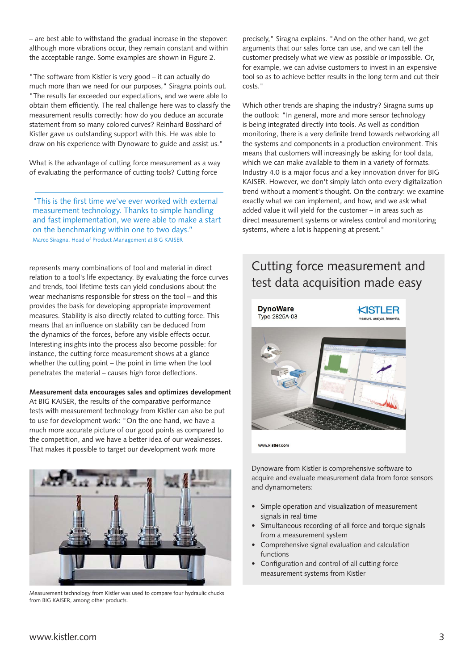– are best able to withstand the gradual increase in the stepover: although more vibrations occur, they remain constant and within the acceptable range. Some examples are shown in Figure 2.

"The software from Kistler is very good – it can actually do much more than we need for our purposes," Siragna points out. "The results far exceeded our expectations, and we were able to obtain them efficiently. The real challenge here was to classify the measurement results correctly: how do you deduce an accurate statement from so many colored curves? Reinhard Bosshard of Kistler gave us outstanding support with this. He was able to draw on his experience with Dynoware to guide and assist us."

What is the advantage of cutting force measurement as a way of evaluating the performance of cutting tools? Cutting force

"This is the first time we've ever worked with external measurement technology. Thanks to simple handling and fast implementation, we were able to make a start on the benchmarking within one to two days." Marco Siragna, Head of Product Management at BIG KAISER

represents many combinations of tool and material in direct relation to a tool's life expectancy. By evaluating the force curves and trends, tool lifetime tests can yield conclusions about the wear mechanisms responsible for stress on the tool – and this provides the basis for developing appropriate improvement measures. Stability is also directly related to cutting force. This means that an influence on stability can be deduced from the dynamics of the forces, before any visible effects occur. Interesting insights into the process also become possible: for instance, the cutting force measurement shows at a glance whether the cutting point – the point in time when the tool penetrates the material – causes high force deflections.

### **Measurement data encourages sales and optimizes development** At BIG KAISER, the results of the comparative performance tests with measurement technology from Kistler can also be put to use for development work: "On the one hand, we have a much more accurate picture of our good points as compared to the competition, and we have a better idea of our weaknesses. That makes it possible to target our development work more



Measurement technology from Kistler was used to compare four hydraulic chucks from BIG KAISER, among other products.

precisely," Siragna explains. "And on the other hand, we get arguments that our sales force can use, and we can tell the customer precisely what we view as possible or impossible. Or, for example, we can advise customers to invest in an expensive tool so as to achieve better results in the long term and cut their costs."

Which other trends are shaping the industry? Siragna sums up the outlook: "In general, more and more sensor technology is being integrated directly into tools. As well as condition monitoring, there is a very definite trend towards networking all the systems and components in a production environment. This means that customers will increasingly be asking for tool data, which we can make available to them in a variety of formats. Industry 4.0 is a major focus and a key innovation driver for BIG KAISER. However, we don't simply latch onto every digitalization trend without a moment's thought. On the contrary: we examine exactly what we can implement, and how, and we ask what added value it will yield for the customer – in areas such as direct measurement systems or wireless control and monitoring systems, where a lot is happening at present."

## Cutting force measurement and test data acquisition made easy



www.kistler.com

Dynoware from Kistler is comprehensive software to acquire and evaluate measurement data from force sensors and dynamometers:

- Simple operation and visualization of measurement signals in real time
- Simultaneous recording of all force and torque signals from a measurement system
- Comprehensive signal evaluation and calculation functions
- Configuration and control of all cutting force measurement systems from Kistler